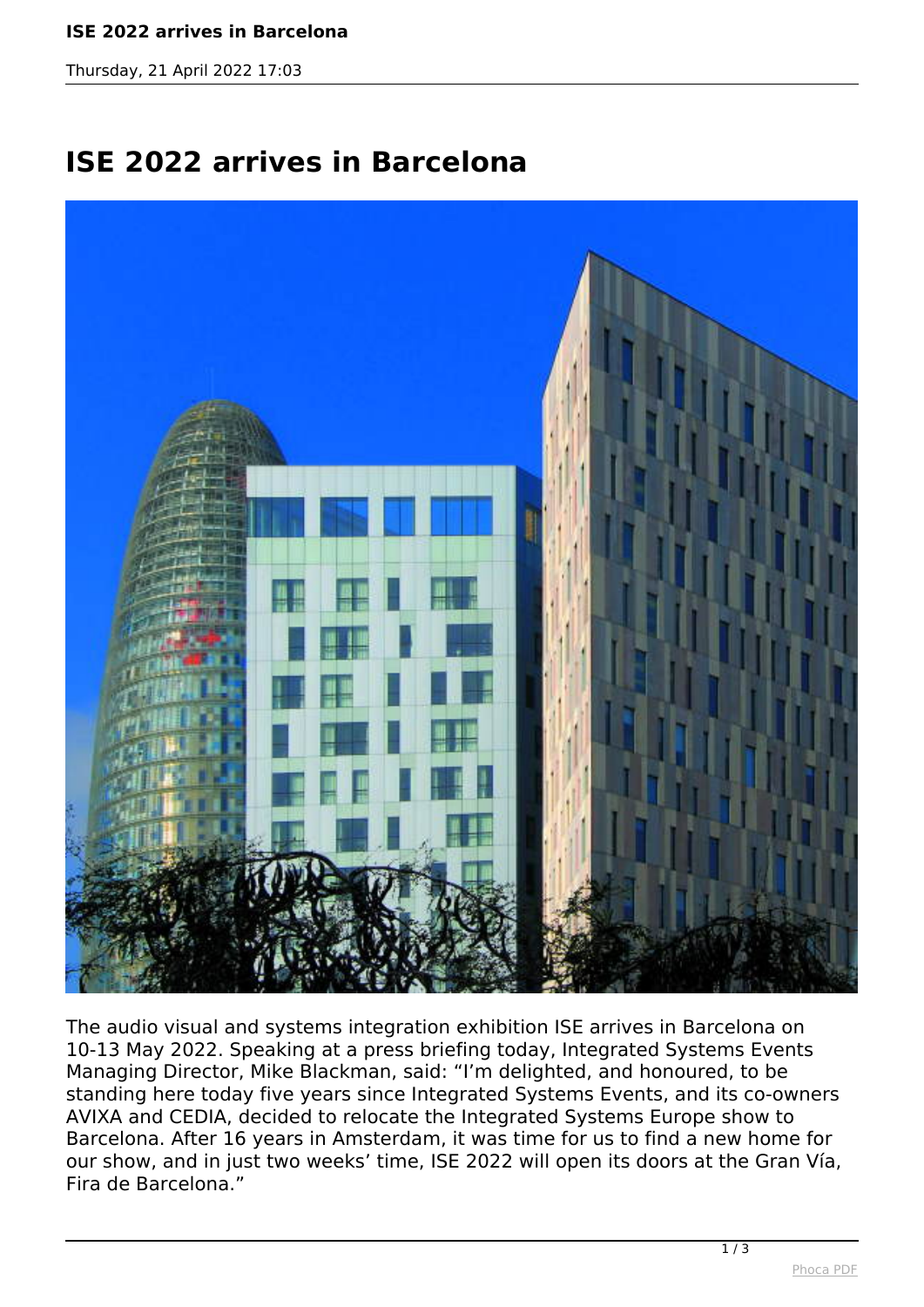## **ISE 2022 arrives in Barcelona**

*Thursday, 21 April 2022 17:03*

## **ISE 2022 arrives in Barcelona**



*The audio visual and systems integration exhibition ISE arrives in Barcelona on 10-13 May 2022. Speaking at a press briefing today, Integrated Systems Events Managing Director, Mike Blackman, said: "I'm delighted, and honoured, to be standing here today five years since Integrated Systems Events, and its co-owners AVIXA and CEDIA, decided to relocate the Integrated Systems Europe show to Barcelona. After 16 years in Amsterdam, it was time for us to find a new home for our show, and in just two weeks' time, ISE 2022 will open its doors at the Gran Vía, Fira de Barcelona."*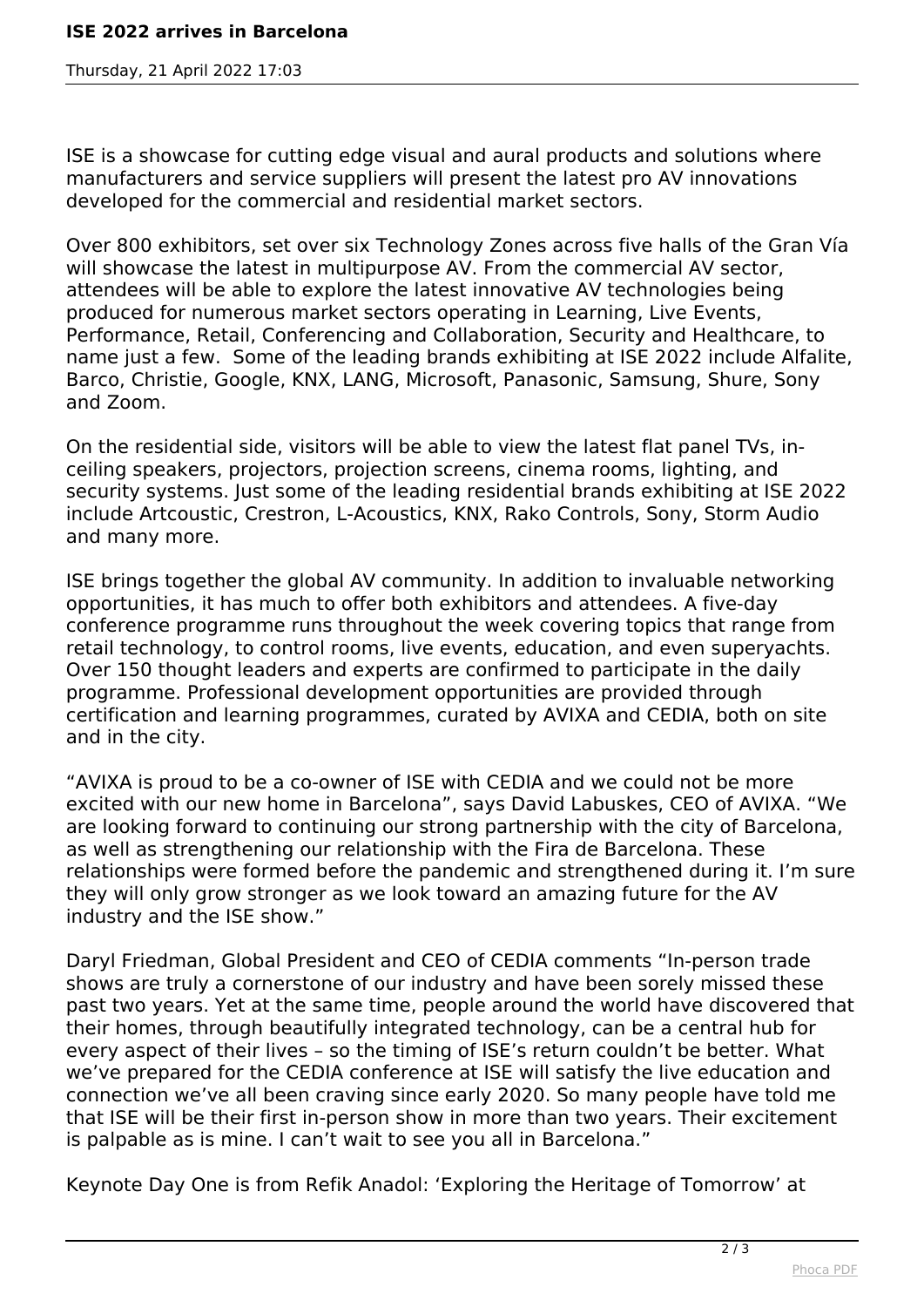## **ISE 2022 arrives in Barcelona**

*Thursday, 21 April 2022 17:03*

*ISE is a showcase for cutting edge visual and aural products and solutions where manufacturers and service suppliers will present the latest pro AV innovations developed for the commercial and residential market sectors.*

*Over 800 exhibitors, set over six Technology Zones across five halls of the Gran Vía will showcase the latest in multipurpose AV. From the commercial AV sector, attendees will be able to explore the latest innovative AV technologies being produced for numerous market sectors operating in Learning, Live Events, Performance, Retail, Conferencing and Collaboration, Security and Healthcare, to name just a few. Some of the leading brands exhibiting at ISE 2022 include Alfalite, Barco, Christie, Google, KNX, LANG, Microsoft, Panasonic, Samsung, Shure, Sony and Zoom.*

*On the residential side, visitors will be able to view the latest flat panel TVs, inceiling speakers, projectors, projection screens, cinema rooms, lighting, and security systems. Just some of the leading residential brands exhibiting at ISE 2022 include Artcoustic, Crestron, L-Acoustics, KNX, Rako Controls, Sony, Storm Audio and many more.*

*ISE brings together the global AV community. In addition to invaluable networking opportunities, it has much to offer both exhibitors and attendees. A five-day conference programme runs throughout the week covering topics that range from retail technology, to control rooms, live events, education, and even superyachts. Over 150 thought leaders and experts are confirmed to participate in the daily programme. Professional development opportunities are provided through certification and learning programmes, curated by AVIXA and CEDIA, both on site and in the city.*

*"AVIXA is proud to be a co-owner of ISE with CEDIA and we could not be more excited with our new home in Barcelona", says David Labuskes, CEO of AVIXA. "We are looking forward to continuing our strong partnership with the city of Barcelona, as well as strengthening our relationship with the Fira de Barcelona. These relationships were formed before the pandemic and strengthened during it. I'm sure they will only grow stronger as we look toward an amazing future for the AV industry and the ISE show."*

*Daryl Friedman, Global President and CEO of CEDIA comments "In-person trade shows are truly a cornerstone of our industry and have been sorely missed these past two years. Yet at the same time, people around the world have discovered that their homes, through beautifully integrated technology, can be a central hub for every aspect of their lives – so the timing of ISE's return couldn't be better. What we've prepared for the CEDIA conference at ISE will satisfy the live education and connection we've all been craving since early 2020. So many people have told me that ISE will be their first in-person show in more than two years. Their excitement is palpable as is mine. I can't wait to see you all in Barcelona."*

*Keynote Day One is from Refik Anadol: 'Exploring the Heritage of Tomorrow' at*